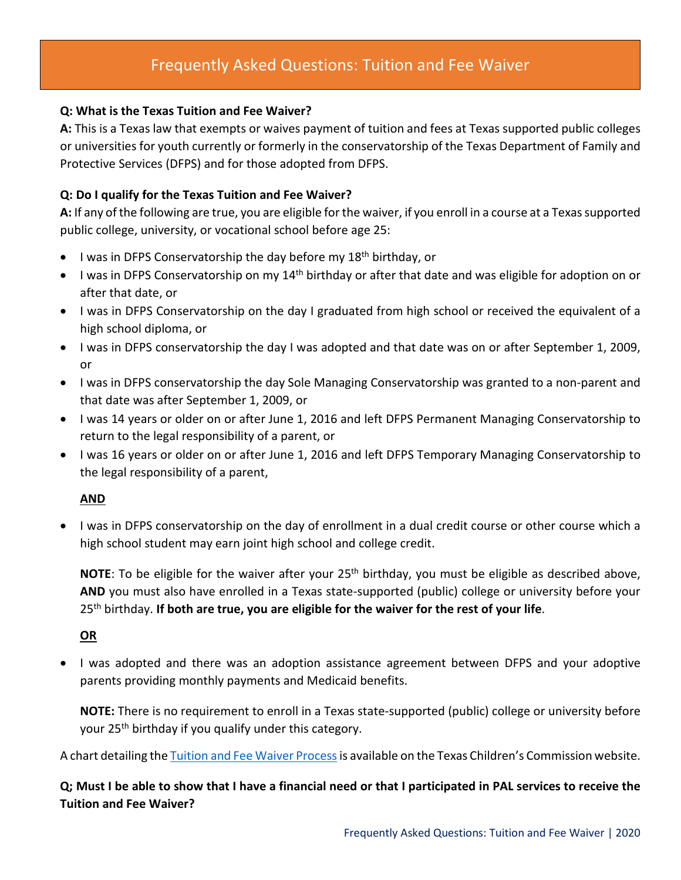# Frequently Asked Questions: Tuition and Fee Waiver

### **Q: What is the Texas Tuition and Fee Waiver?**

**A:** This is a Texas law that exempts or waives payment of tuition and fees at Texas supported public colleges or universities for youth currently or formerly in the conservatorship of the Texas Department of Family and Protective Services (DFPS) and for those adopted from DFPS.

### **Q: Do I qualify for the Texas Tuition and Fee Waiver?**

**A:** If any of the following are true, you are eligible for the waiver, if you enroll in a course at a Texas supported public college, university, or vocational school before age 25:

- I was in DFPS Conservatorship the day before my 18<sup>th</sup> birthday, or
- I was in DFPS Conservatorship on my 14<sup>th</sup> birthday or after that date and was eligible for adoption on or after that date, or
- I was in DFPS Conservatorship on the day I graduated from high school or received the equivalent of a high school diploma, or
- I was in DFPS conservatorship the day I was adopted and that date was on or after September 1, 2009, or
- I was in DFPS conservatorship the day Sole Managing Conservatorship was granted to a non-parent and that date was after September 1, 2009, or
- I was 14 years or older on or after June 1, 2016 and left DFPS Permanent Managing Conservatorship to return to the legal responsibility of a parent, or
- I was 16 years or older on or after June 1, 2016 and left DFPS Temporary Managing Conservatorship to the legal responsibility of a parent,

## **AND**

• I was in DFPS conservatorship on the day of enrollment in a dual credit course or other course which a high school student may earn joint high school and college credit.

**NOTE:** To be eligible for the waiver after your 25<sup>th</sup> birthday, you must be eligible as described above, **AND** you must also have enrolled in a Texas state-supported (public) college or university before your 25th birthday. **If both are true, you are eligible for the waiver for the rest of your life**.

### **OR**

• I was adopted and there was an adoption assistance agreement between DFPS and your adoptive parents providing monthly payments and Medicaid benefits.

**NOTE:** There is no requirement to enroll in a Texas state-supported (public) college or university before your 25<sup>th</sup> birthday if you qualify under this category.

A chart detailing th[e Tuition and Fee Waiver Process](http://texaschildrenscommission.gov/media/83925/tuition-waiver-final.pdf) is available on the Texas Children's Commission website.

**Q; Must I be able to show that I have a financial need or that I participated in PAL services to receive the Tuition and Fee Waiver?**